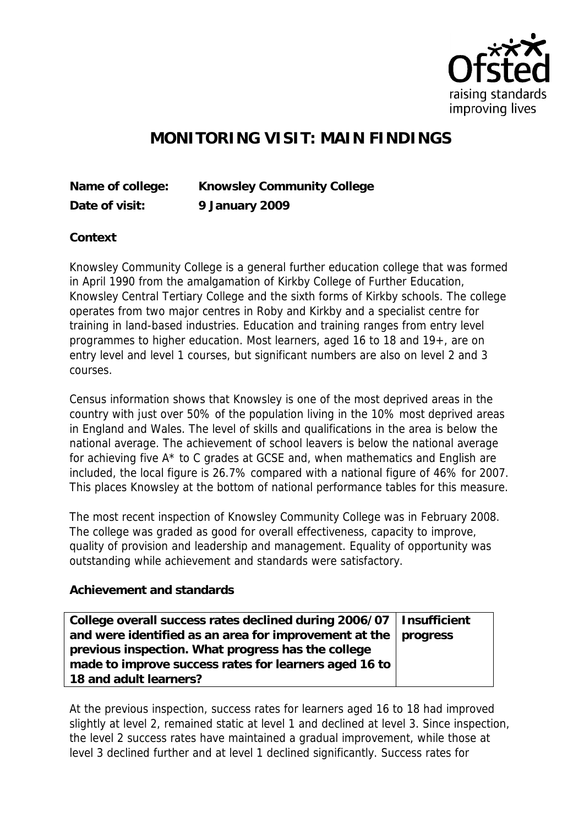

## **MONITORING VISIT: MAIN FINDINGS**

| Name of college: | Knowsley Community College |
|------------------|----------------------------|
| Date of visit:   | 9 January 2009             |

**Context**

Knowsley Community College is a general further education college that was formed in April 1990 from the amalgamation of Kirkby College of Further Education, Knowsley Central Tertiary College and the sixth forms of Kirkby schools. The college operates from two major centres in Roby and Kirkby and a specialist centre for training in land-based industries. Education and training ranges from entry level programmes to higher education. Most learners, aged 16 to 18 and 19+, are on entry level and level 1 courses, but significant numbers are also on level 2 and 3 courses.

Census information shows that Knowsley is one of the most deprived areas in the country with just over 50% of the population living in the 10% most deprived areas in England and Wales. The level of skills and qualifications in the area is below the national average. The achievement of school leavers is below the national average for achieving five A\* to C grades at GCSE and, when mathematics and English are included, the local figure is 26.7% compared with a national figure of 46% for 2007. This places Knowsley at the bottom of national performance tables for this measure.

The most recent inspection of Knowsley Community College was in February 2008. The college was graded as good for overall effectiveness, capacity to improve, quality of provision and leadership and management. Equality of opportunity was outstanding while achievement and standards were satisfactory.

## **Achievement and standards**

| College overall success rates declined during 2006/07   Insufficient |  |
|----------------------------------------------------------------------|--|
| and were identified as an area for improvement at the $ $ progress   |  |
| previous inspection. What progress has the college                   |  |
| made to improve success rates for learners aged 16 to                |  |
| 18 and adult learners?                                               |  |

At the previous inspection, success rates for learners aged 16 to 18 had improved slightly at level 2, remained static at level 1 and declined at level 3. Since inspection, the level 2 success rates have maintained a gradual improvement, while those at level 3 declined further and at level 1 declined significantly. Success rates for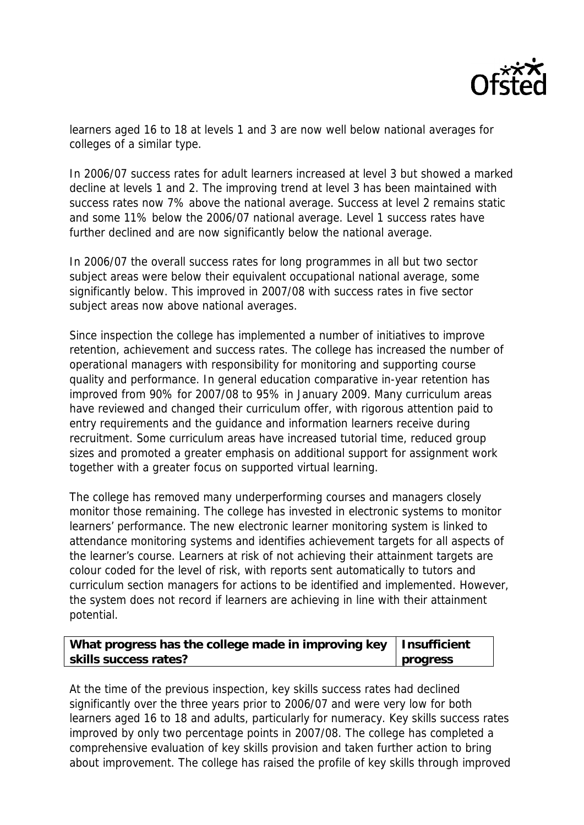

learners aged 16 to 18 at levels 1 and 3 are now well below national averages for colleges of a similar type.

In 2006/07 success rates for adult learners increased at level 3 but showed a marked decline at levels 1 and 2. The improving trend at level 3 has been maintained with success rates now 7% above the national average. Success at level 2 remains static and some 11% below the 2006/07 national average. Level 1 success rates have further declined and are now significantly below the national average.

In 2006/07 the overall success rates for long programmes in all but two sector subject areas were below their equivalent occupational national average, some significantly below. This improved in 2007/08 with success rates in five sector subject areas now above national averages.

Since inspection the college has implemented a number of initiatives to improve retention, achievement and success rates. The college has increased the number of operational managers with responsibility for monitoring and supporting course quality and performance. In general education comparative in-year retention has improved from 90% for 2007/08 to 95% in January 2009. Many curriculum areas have reviewed and changed their curriculum offer, with rigorous attention paid to entry requirements and the guidance and information learners receive during recruitment. Some curriculum areas have increased tutorial time, reduced group sizes and promoted a greater emphasis on additional support for assignment work together with a greater focus on supported virtual learning.

The college has removed many underperforming courses and managers closely monitor those remaining. The college has invested in electronic systems to monitor learners' performance. The new electronic learner monitoring system is linked to attendance monitoring systems and identifies achievement targets for all aspects of the learner's course. Learners at risk of not achieving their attainment targets are colour coded for the level of risk, with reports sent automatically to tutors and curriculum section managers for actions to be identified and implemented. However, the system does not record if learners are achieving in line with their attainment potential.

| What progress has the college made in improving key   Insufficient |          |
|--------------------------------------------------------------------|----------|
| skills success rates?                                              | progress |

At the time of the previous inspection, key skills success rates had declined significantly over the three years prior to 2006/07 and were very low for both learners aged 16 to 18 and adults, particularly for numeracy. Key skills success rates improved by only two percentage points in 2007/08. The college has completed a comprehensive evaluation of key skills provision and taken further action to bring about improvement. The college has raised the profile of key skills through improved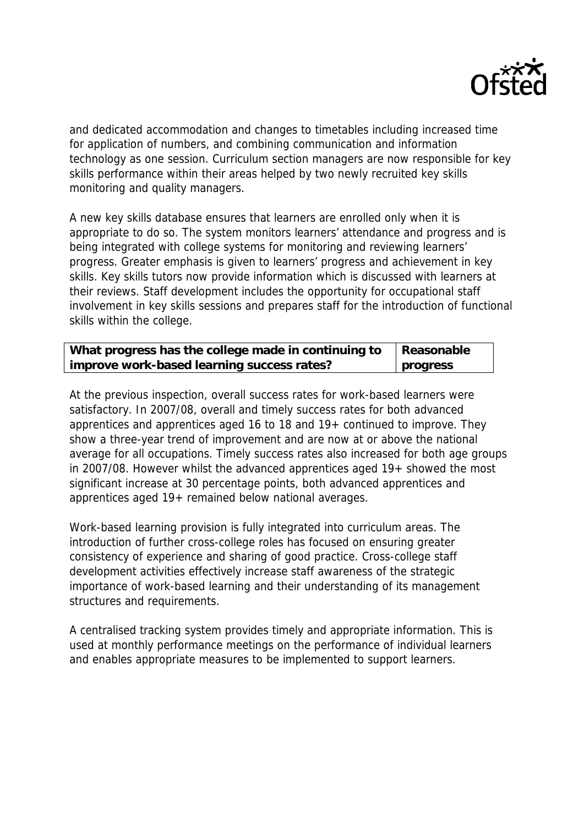

and dedicated accommodation and changes to timetables including increased time for application of numbers, and combining communication and information technology as one session. Curriculum section managers are now responsible for key skills performance within their areas helped by two newly recruited key skills monitoring and quality managers.

A new key skills database ensures that learners are enrolled only when it is appropriate to do so. The system monitors learners' attendance and progress and is being integrated with college systems for monitoring and reviewing learners' progress. Greater emphasis is given to learners' progress and achievement in key skills. Key skills tutors now provide information which is discussed with learners at their reviews. Staff development includes the opportunity for occupational staff involvement in key skills sessions and prepares staff for the introduction of functional skills within the college.

| What progress has the college made in continuing to | Reasonable |
|-----------------------------------------------------|------------|
| improve work-based learning success rates?          | progress   |

At the previous inspection, overall success rates for work-based learners were satisfactory. In 2007/08, overall and timely success rates for both advanced apprentices and apprentices aged 16 to 18 and 19+ continued to improve. They show a three-year trend of improvement and are now at or above the national average for all occupations. Timely success rates also increased for both age groups in 2007/08. However whilst the advanced apprentices aged 19+ showed the most significant increase at 30 percentage points, both advanced apprentices and apprentices aged 19+ remained below national averages.

Work-based learning provision is fully integrated into curriculum areas. The introduction of further cross-college roles has focused on ensuring greater consistency of experience and sharing of good practice. Cross-college staff development activities effectively increase staff awareness of the strategic importance of work-based learning and their understanding of its management structures and requirements.

A centralised tracking system provides timely and appropriate information. This is used at monthly performance meetings on the performance of individual learners and enables appropriate measures to be implemented to support learners.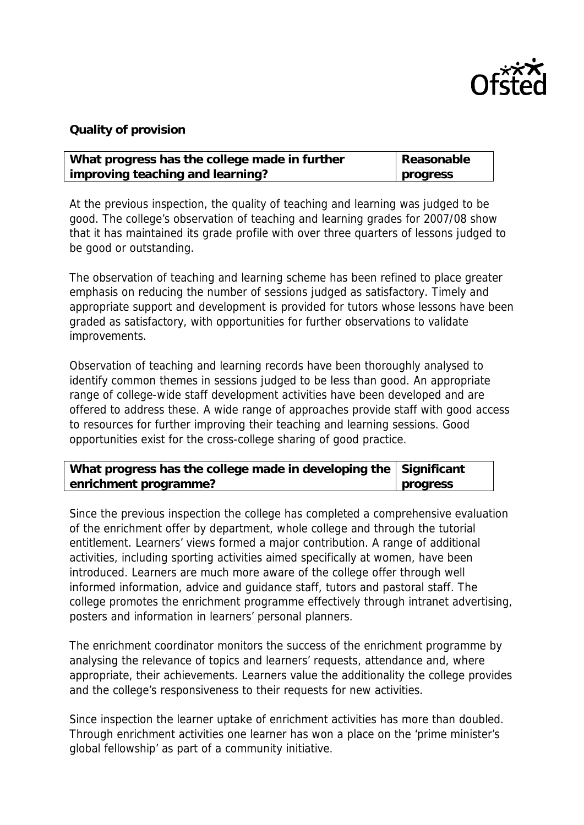

## **Quality of provision**

| What progress has the college made in further | Reasonable |
|-----------------------------------------------|------------|
| improving teaching and learning?              | progress   |

At the previous inspection, the quality of teaching and learning was judged to be good. The college's observation of teaching and learning grades for 2007/08 show that it has maintained its grade profile with over three quarters of lessons judged to be good or outstanding.

The observation of teaching and learning scheme has been refined to place greater emphasis on reducing the number of sessions judged as satisfactory. Timely and appropriate support and development is provided for tutors whose lessons have been graded as satisfactory, with opportunities for further observations to validate improvements.

Observation of teaching and learning records have been thoroughly analysed to identify common themes in sessions judged to be less than good. An appropriate range of college-wide staff development activities have been developed and are offered to address these. A wide range of approaches provide staff with good access to resources for further improving their teaching and learning sessions. Good opportunities exist for the cross-college sharing of good practice.

| What progress has the college made in developing the Significant |          |
|------------------------------------------------------------------|----------|
| enrichment programme?                                            | progress |

Since the previous inspection the college has completed a comprehensive evaluation of the enrichment offer by department, whole college and through the tutorial entitlement. Learners' views formed a major contribution. A range of additional activities, including sporting activities aimed specifically at women, have been introduced. Learners are much more aware of the college offer through well informed information, advice and guidance staff, tutors and pastoral staff. The college promotes the enrichment programme effectively through intranet advertising, posters and information in learners' personal planners.

The enrichment coordinator monitors the success of the enrichment programme by analysing the relevance of topics and learners' requests, attendance and, where appropriate, their achievements. Learners value the additionality the college provides and the college's responsiveness to their requests for new activities.

Since inspection the learner uptake of enrichment activities has more than doubled. Through enrichment activities one learner has won a place on the 'prime minister's global fellowship' as part of a community initiative.